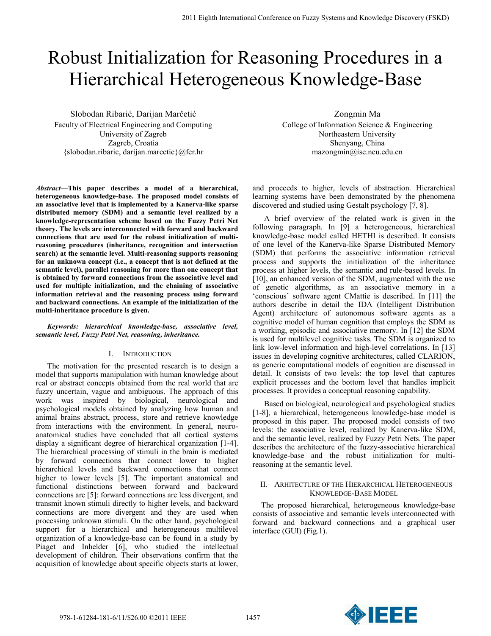# Robust Initialization for Reasoning Procedures in a Hierarchical Heterogeneous Knowledge-Base

Slobodan Ribarić, Darijan Marčetić Faculty of Electrical Engineering and Computing University of Zagreb Zagreb, Croatia {slobodan.ribaric, darijan.marcetic}@fer.hr

*Abstract***—This paper describes a model of a hierarchical, heterogeneous knowledge-base. The proposed model consists of an associative level that is implemented by a Kanerva-like sparse distributed memory (SDM) and a semantic level realized by a knowledge-representation scheme based on the Fuzzy Petri Net theory. The levels are interconnected with forward and backward connections that are used for the robust initialization of multireasoning procedures (inheritance, recognition and intersection search) at the semantic level. Multi-reasoning supports reasoning for an unknown concept (i.e., a concept that is not defined at the semantic level), parallel reasoning for more than one concept that is obtained by forward connections from the associative level and used for multiple initialization, and the chaining of associative information retrieval and the reasoning process using forward and backward connections. An example of the initialization of the multi-inheritance procedure is given.**

*Keywords: hierarchical knowledge-base, associative level, semantic level, Fuzzy Petri Net, reasoning, inheritance.*

## I. INTRODUCTION

The motivation for the presented research is to design a model that supports manipulation with human knowledge about real or abstract concepts obtained from the real world that are fuzzy uncertain, vague and ambiguous. The approach of this work was inspired by biological, neurological and psychological models obtained by analyzing how human and animal brains abstract, process, store and retrieve knowledge from interactions with the environment. In general, neuroanatomical studies have concluded that all cortical systems display a significant degree of hierarchical organization [1-4]. The hierarchical processing of stimuli in the brain is mediated by forward connections that connect lower to higher hierarchical levels and backward connections that connect higher to lower levels [5]. The important anatomical and functional distinctions between forward and backward connections are [5]: forward connections are less divergent, and transmit known stimuli directly to higher levels, and backward connections are more divergent and they are used when processing unknown stimuli. On the other hand, psychological support for a hierarchical and heterogeneous multilevel organization of a knowledge-base can be found in a study by Piaget and Inhelder [6], who studied the intellectual development of children. Their observations confirm that the acquisition of knowledge about specific objects starts at lower,

Zongmin Ma

College of Information Science & Engineering Northeastern University Shenyang, China mazongmin@ise.neu.edu.cn

and proceeds to higher, levels of abstraction. Hierarchical learning systems have been demonstrated by the phenomena discovered and studied using Gestalt psychology [7, 8].

A brief overview of the related work is given in the following paragraph. In [9] a heterogeneous, hierarchical knowledge-base model called HETHI is described. It consists of one level of the Kanerva-like Sparse Distributed Memory (SDM) that performs the associative information retrieval process and supports the initialization of the inheritance process at higher levels, the semantic and rule-based levels. In [10], an enhanced version of the SDM, augmented with the use of genetic algorithms, as an associative memory in a 'conscious' software agent CMattie is described. In [11] the authors describe in detail the IDA (Intelligent Distribution Agent) architecture of autonomous software agents as a cognitive model of human cognition that employs the SDM as a working, episodic and associative memory. In [12] the SDM is used for multilevel cognitive tasks. The SDM is organized to link low-level information and high-level correlations. In [13] issues in developing cognitive architectures, called CLARION, as generic computational models of cognition are discussed in detail. It consists of two levels: the top level that captures explicit processes and the bottom level that handles implicit processes. It provides a conceptual reasoning capability.

Based on biological, neurological and psychological studies [1-8], a hierarchical, heterogeneous knowledge-base model is proposed in this paper. The proposed model consists of two levels: the associative level, realized by Kanerva-like SDM, and the semantic level, realized by Fuzzy Petri Nets. The paper describes the architecture of the fuzzy-associative hierarchical knowledge-base and the robust initialization for multireasoning at the semantic level.

# II. ARHITECTURE OF THE HIERARCHICAL HETEROGENEOUS KNOWLEDGE-BASE MODEL

The proposed hierarchical, heterogeneous knowledge-base consists of associative and semantic levels interconnected with forward and backward connections and a graphical user interface (GUI) (Fig.1).

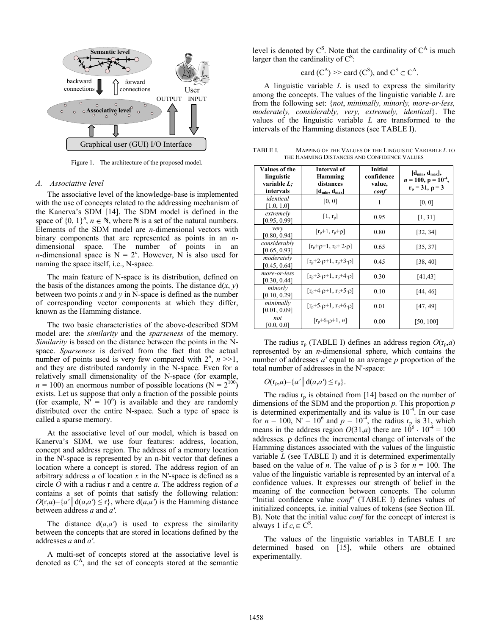

Figure 1. The architecture of the proposed model.

#### *A. Associative level*

The associative level of the knowledge-base is implemented with the use of concepts related to the addressing mechanism of the Kanerva"s SDM [14]. The SDM model is defined in the space of  $\{0, 1\}^n$ ,  $n \in \mathbb{N}$ , where  $\mathbb N$  is a set of the natural numbers. Elements of the SDM model are *n*-dimensional vectors with binary components that are represented as points in an *n*dimensional space. The number of points in an *n*-dimensional space is  $N = 2^n$ . However, N is also used for naming the space itself, i.e., N-space.

The main feature of N-space is its distribution, defined on the basis of the distances among the points. The distance  $d(x, y)$ between two points *x* and *y* in N-space is defined as the number of corresponding vector components at which they differ, known as the Hamming distance.

The two basic characteristics of the above-described SDM model are: the *similarity* and the *sparseness* of the memory. *Similarity* is based on the distance between the points in the Nspace. *Sparseness* is derived from the fact that the actual number of points used is very few compared with  $2^n$ ,  $n \geq 1$ , and they are distributed randomly in the N-space. Even for a relatively small dimensionality of the N-space (for example,  $n = 100$ ) an enormous number of possible locations (N =  $2^{100}$ ) exists. Let us suppose that only a fraction of the possible points (for example,  $\overline{N'} = 10^6$ ) is available and they are randomly distributed over the entire N-space. Such a type of space is called a sparse memory.

At the associative level of our model, which is based on Kanerva"s SDM, we use four features: address, location, concept and address region. The address of a memory location in the N'-space is represented by an n-bit vector that defines a location where a concept is stored. The address region of an arbitrary address *a* of location *x* in the N'-space is defined as a circle *O* with a radius r and a centre *a*. The address region of *a* contains a set of points that satisfy the following relation:  $O(r,a) = \{a' \mid d(a,a') \leq r\}$ , where  $d(a,a')$  is the Hamming distance between address *a* and *a'.*

The distance  $d(a,a')$  is used to express the similarity between the concepts that are stored in locations defined by the addresses *a* and *a'*.

A multi-set of concepts stored at the associative level is denoted as  $C<sup>A</sup>$ , and the set of concepts stored at the semantic level is denoted by  $C^S$ . Note that the cardinality of  $C^A$  is much larger than the cardinality of  $C^S$ :

card 
$$
(C^A)
$$
 >> card  $(C^S)$ , and  $C^S \subset C^A$ .

A linguistic variable *L* is used to express the similarity among the concepts. The values of the linguistic variable *L* are from the following set: {*not*, *minimally, minorly, more-or-less, moderately, considerably, very, extremely, identical*}. The values of the linguistic variable *L* are transformed to the intervals of the Hamming distances (see TABLE I).

TABLE I. MAPPING OF THE VALUES OF THE LINGUISTIC VARIABLE *L* TO THE HAMMING DISTANCES AND CONFIDENCE VALUES

| Values of the<br>linguistic<br>variable L;<br>intervals | Interval of<br>Hamming<br>distances<br>$[d_{min}, d_{max}]$ | Initial<br>confidence<br>value,<br>conf | [d <sub>min</sub> , d <sub>max</sub> ],<br>$n = 100$ , $p = 10^{-4}$ ,<br>$r_p = 31, p = 3$ |
|---------------------------------------------------------|-------------------------------------------------------------|-----------------------------------------|---------------------------------------------------------------------------------------------|
| identical<br>[1.0, 1.0]                                 | [0, 0]                                                      | 1                                       | [0, 0]                                                                                      |
| extremely<br>[0.95, 0.99]                               | $[1, r_{p}]$                                                | 0.95                                    | [1, 31]                                                                                     |
| very<br>[0.80, 0.94]                                    | $[r_p+1, r_p+\rho]$                                         | 0.80                                    | [32, 34]                                                                                    |
| considerably<br>[0.65, 0.93]                            | $[r_p + \rho + 1, r_p + 2 \cdot \rho]$                      | 0.65                                    | [35, 37]                                                                                    |
| moderately<br>[0.45, 0.64]                              | $[r_p+2\cdot\rho+1, r_p+3\cdot\rho]$                        | 0.45                                    | [38, 40]                                                                                    |
| more-or-less<br>[0.30, 0.44]                            | $[r_p+3\cdot\rho+1, r_p+4\cdot\rho]$                        | 0.30                                    | [41, 43]                                                                                    |
| minorly<br>[0.10, 0.29]                                 | $[r_p+4\cdot\rho+1, r_p+5\cdot\rho]$                        | 0.10                                    | [44, 46]                                                                                    |
| minimally<br>[0.01, 0.09]                               | $[r_p+5\cdot\rho+1, r_p+6\cdot\rho]$                        | 0.01                                    | [47, 49]                                                                                    |
| not<br>[0.0, 0.0]                                       | $[r_p+6. \rho+1, n]$                                        | 0.00                                    | [50, 100]                                                                                   |

The radius  $r_p$  (TABLE I) defines an address region  $O(r_p,a)$ represented by an *n*-dimensional sphere, which contains the number of addresses *a'* equal to an average *p* proportion of the total number of addresses in the N'-space:

 $O(r_p, a) = \{a' \mid d(a, a') \leq r_p\}.$ 

The radius  $r_p$  is obtained from [14] based on the number of dimensions of the SDM and the proportion *p.* This proportion *p* is determined experimentally and its value is  $10^{-4}$ . In our case for  $n = 100$ , N' =  $10^6$  and  $p = 10^{-4}$ , the radius r<sub>p</sub> is 31, which means in the address region  $O(31,a)$  there are  $10^6 \cdot 10^{-4} = 100$ addresses.  $\rho$  defines the incremental change of intervals of the Hamming distances associated with the values of the linguistic variable *L* (see TABLE I) and it is determined experimentally based on the value of *n*. The value of  $\rho$  is 3 for  $n = 100$ . The value of the linguistic variable is represented by an interval of a confidence values. It expresses our strength of belief in the meaning of the connection between concepts. The column "Initial confidence value *conf*" (TABLE I) defines values of initialized concepts, i.e. initial values of tokens (see Section III. B). Note that the initial value *conf* for the concept of interest is always 1 if  $c_i \in \mathbb{C}^S$ .

The values of the linguistic variables in TABLE I are determined based on [15], while others are obtained experimentally.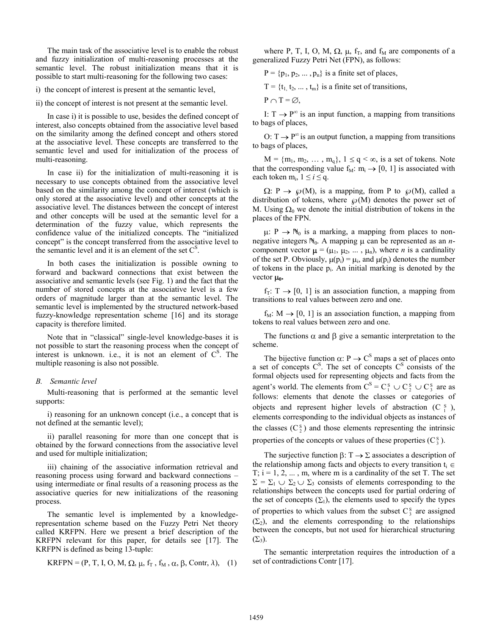The main task of the associative level is to enable the robust and fuzzy initialization of multi-reasoning processes at the semantic level. The robust initialization means that it is possible to start multi-reasoning for the following two cases:

i) the concept of interest is present at the semantic level,

ii) the concept of interest is not present at the semantic level.

In case i) it is possible to use, besides the defined concept of interest, also concepts obtained from the associative level based on the similarity among the defined concept and others stored at the associative level. These concepts are transferred to the semantic level and used for initialization of the process of multi-reasoning.

In case ii) for the initialization of multi-reasoning it is necessary to use concepts obtained from the associative level based on the similarity among the concept of interest (which is only stored at the associative level) and other concepts at the associative level. The distances between the concept of interest and other concepts will be used at the semantic level for a determination of the fuzzy value, which represents the confidence value of the initialized concepts. The "initialized concept" is the concept transferred from the associative level to the semantic level and it is an element of the set  $C<sup>S</sup>$ .

In both cases the initialization is possible owning to forward and backward connections that exist between the associative and semantic levels (see Fig. 1) and the fact that the number of stored concepts at the associative level is a few orders of magnitude larger than at the semantic level. The semantic level is implemented by the structured network-based fuzzy-knowledge representation scheme [16] and its storage capacity is therefore limited.

Note that in "classical" single-level knowledge-bases it is not possible to start the reasoning process when the concept of interest is unknown. i.e., it is not an element of  $C^{\text{S}}$ . The multiple reasoning is also not possible.

## *B. Semantic level*

Multi-reasoning that is performed at the semantic level supports:

i) reasoning for an unknown concept (i.e., a concept that is not defined at the semantic level);

ii) parallel reasoning for more than one concept that is obtained by the forward connections from the associative level and used for multiple initialization;

iii) chaining of the associative information retrieval and reasoning process using forward and backward connections – using intermediate or final results of a reasoning process as the associative queries for new initializations of the reasoning process.

The semantic level is implemented by a knowledgerepresentation scheme based on the Fuzzy Petri Net theory called KRFPN. Here we present a brief description of the KRFPN relevant for this paper, for details see [17]. The KRFPN is defined as being 13-tuple:

KRFPN = (P, T, I, O, M, 
$$
\Omega
$$
,  $\mu$ ,  $f_T$ ,  $f_M$ ,  $\alpha$ ,  $\beta$ , Contr,  $\lambda$ ), (1)

where P, T, I, O, M,  $\Omega$ ,  $\mu$ ,  $f_T$ , and  $f_M$  are components of a generalized Fuzzy Petri Net (FPN), as follows:

 $P = {p_1, p_2, ..., p_n}$  is a finite set of places,

 $T = \{t_1, t_2, \dots, t_m\}$  is a finite set of transitions,

$$
P \cap T = \varnothing,
$$

I:  $T \rightarrow P^{\infty}$  is an input function, a mapping from transitions to bags of places,

O:  $T \rightarrow P^{\infty}$  is an output function, a mapping from transitions to bags of places,

 $M = \{m_1, m_2, \ldots, m_q\}, 1 \leq q < \infty$ , is a set of tokens. Note that the corresponding value  $f_M: m_i \rightarrow [0, 1]$  is associated with each token  $m_i$ ,  $1 \le i \le q$ .

 $\Omega: P \to \mathcal{P}(M)$ , is a mapping, from P to  $\mathcal{P}(M)$ , called a distribution of tokens, where  $\mathcal{P}(M)$  denotes the power set of M. Using  $\Omega_0$  we denote the initial distribution of tokens in the places of the FPN.

 $\mu: P \to \mathbb{N}_0$  is a marking, a mapping from places to nonnegative integers  $\mathbb{N}_0$ . A mapping  $\mu$  can be represented as an *n*component vector  $\mu = (\mu_1, \mu_2, \dots, \mu_n)$ , where *n* is a cardinality of the set P. Obviously,  $\mu(p_i) = \mu_i$ , and  $\mu(p_i)$  denotes the number of tokens in the place p<sup>i</sup> . An initial marking is denoted by the vector  $\mu_0$ .

 $f_T: T \rightarrow [0, 1]$  is an association function, a mapping from transitions to real values between zero and one.

 $f_M: M \to [0, 1]$  is an association function, a mapping from tokens to real values between zero and one.

The functions  $\alpha$  and  $\beta$  give a semantic interpretation to the scheme.

The bijective function  $\alpha$ : P  $\rightarrow$  C<sup>S</sup> maps a set of places onto a set of concepts  $C^S$ . The set of concepts  $C^S$  consists of the formal objects used for representing objects and facts from the agent's world. The elements from  $C^S = C_1^S \cup C_2^S \cup C_3^S$  are as follows: elements that denote the classes or categories of objects and represent higher levels of abstraction  $(C_i^s)$ , elements corresponding to the individual objects as instances of the classes  $(C_2^s)$  and those elements representing the intrinsic properties of the concepts or values of these properties  $(C_3^s)$ .

The surjective function  $\beta: T \to \Sigma$  associates a description of the relationship among facts and objects to every transition  $t_i \in$  $T$ ;  $i = 1, 2, \ldots, m$ , where m is a cardinality of the set T. The set  $\Sigma = \Sigma_1 \cup \Sigma_2 \cup \Sigma_3$  consists of elements corresponding to the relationships between the concepts used for partial ordering of the set of concepts  $(\Sigma_1)$ , the elements used to specify the types of properties to which values from the subset  $C_3^s$  are assigned  $(\Sigma_2)$ , and the elements corresponding to the relationships between the concepts, but not used for hierarchical structuring  $(\Sigma_3)$ .

The semantic interpretation requires the introduction of a set of contradictions Contr [17].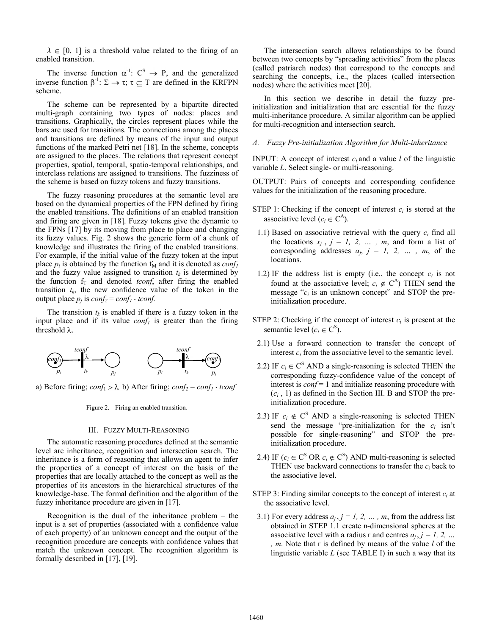$\lambda \in [0, 1]$  is a threshold value related to the firing of an enabled transition.

The inverse function  $\alpha^{-1}$ :  $C^S \rightarrow P$ , and the generalized inverse function  $\beta^{-1}$ :  $\Sigma \to \tau$ ;  $\tau \subseteq T$  are defined in the KRFPN scheme.

The scheme can be represented by a bipartite directed multi-graph containing two types of nodes: places and transitions. Graphically, the circles represent places while the bars are used for transitions. The connections among the places and transitions are defined by means of the input and output functions of the marked Petri net [18]. In the scheme, concepts are assigned to the places. The relations that represent concept properties, spatial, temporal, spatio-temporal relationships, and interclass relations are assigned to transitions. The fuzziness of the scheme is based on fuzzy tokens and fuzzy transitions.

The fuzzy reasoning procedures at the semantic level are based on the dynamical properties of the FPN defined by firing the enabled transitions. The definitions of an enabled transition and firing are given in [18]. Fuzzy tokens give the dynamic to the FPNs [17] by its moving from place to place and changing its fuzzy values. Fig. 2 shows the generic form of a chunk of knowledge and illustrates the firing of the enabled transitions. For example, if the initial value of the fuzzy token at the input place  $p_i$  is obtained by the function  $f_M$  and it is denoted as  $\text{conf}_I$ and the fuzzy value assigned to transition  $t_k$  is determined by the function  $f<sub>T</sub>$  and denoted *tconf*, after firing the enabled transition  $t_k$ , the new confidence value of the token in the output place  $p_j$  is  $conf_2 = conf_1 \cdot tconf$ .

The transition  $t_k$  is enabled if there is a fuzzy token in the input place and if its value *conf<sup>1</sup>* is greater than the firing threshold  $\lambda$ .



a) Before firing;  $conf_1 > \lambda$  b) After firing;  $conf_2 = conf_1 \cdot tconf$ 

Figure 2. Firing an enabled transition.

## III. FUZZY MULTI-REASONING

The automatic reasoning procedures defined at the semantic level are inheritance, recognition and intersection search. The inheritance is a form of reasoning that allows an agent to infer the properties of a concept of interest on the basis of the properties that are locally attached to the concept as well as the properties of its ancestors in the hierarchical structures of the knowledge-base. The formal definition and the algorithm of the fuzzy inheritance procedure are given in [17].

Recognition is the dual of the inheritance problem – the input is a set of properties (associated with a confidence value of each property) of an unknown concept and the output of the recognition procedure are concepts with confidence values that match the unknown concept. The recognition algorithm is formally described in [17], [19].

The intersection search allows relationships to be found between two concepts by "spreading activities" from the places (called patriarch nodes) that correspond to the concepts and searching the concepts, i.e., the places (called intersection nodes) where the activities meet [20].

In this section we describe in detail the fuzzy preinitialization and initialization that are essential for the fuzzy multi-inheritance procedure. A similar algorithm can be applied for multi-recognition and intersection search.

## *A. Fuzzy Pre-initialization Algorithm for Multi-inheritance*

**INPUT:** A concept of interest  $c_i$  and a value *l* of the linguistic variable *L*. Select single- or multi-reasoning.

OUTPUT: Pairs of concepts and corresponding confidence values for the initialization of the reasoning procedure.

- STEP 1: Checking if the concept of interest  $c_i$  is stored at the associative level ( $c_i \in C^A$ ).
- 1.1) Based on associative retrieval with the query *c<sup>i</sup>* find all the locations  $x_j$ ,  $j = 1, 2, \ldots, m$ , and form a list of corresponding addresses  $a_j$ ,  $j = 1, 2, ...$ ,  $m$ , of the locations.
- 1.2) IF the address list is empty (i.e., the concept  $c_i$  is not found at the associative level;  $c_i \notin C^A$ ) THEN send the message " $c_i$  is an unknown concept" and STOP the preinitialization procedure.
- STEP 2: Checking if the concept of interest  $c_i$  is present at the semantic level ( $c_i \in C^S$ ).
- 2.1) Use a forward connection to transfer the concept of interest  $c_i$  from the associative level to the semantic level.
- 2.2) IF  $c_i \in \text{C}^S$  AND a single-reasoning is selected THEN the corresponding fuzzy-confidence value of the concept of interest is *conf* = 1 and initialize reasoning procedure with  $(c_i, 1)$  as defined in the Section III. B and STOP the preinitialization procedure.
- 2.3) IF  $c_i \notin C^S$  AND a single-reasoning is selected THEN send the message "pre-initialization for the  $c_i$  isn't possible for single-reasoning" and STOP the preinitialization procedure.
- 2.4) IF ( $c_i \in C^S$  OR  $c_i \notin C^S$ ) AND multi-reasoning is selected THEN use backward connections to transfer the *c<sup>i</sup>* back to the associative level.
- STEP 3: Finding similar concepts to the concept of interest  $c_i$  at the associative level.
	- 3.1) For every address  $a_j$ ,  $j = 1, 2, ..., m$ , from the address list obtained in STEP 1.1 create n-dimensional spheres at the associative level with a radius r and centres  $a_j$ ,  $j = 1, 2, ...$ *, m*. Note that r is defined by means of the value *l* of the linguistic variable *L* (see TABLE I) in such a way that its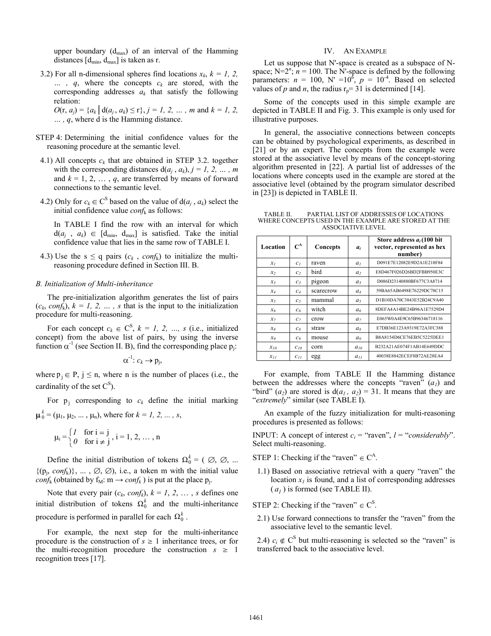upper boundary  $(d_{max})$  of an interval of the Hamming distances  $[d_{min}, d_{max}]$  is taken as r.

3.2) For all n-dimensional spheres find locations  $x_k$ ,  $k = 1, 2, \ldots$ *… , q*, where the concepts *c<sup>k</sup>* are stored, with the corresponding addresses  $a_k$  that satisfy the following relation:

 $O(r, a_j) = {a_k | d(a_j, a_k) \le r}, j = 1, 2, ..., m$  and  $k = 1, 2, ...$ *… , q*, where d is the Hamming distance.

- STEP 4: Determining the initial confidence values for the reasoning procedure at the semantic level.
- 4.1) All concepts  $c_k$  that are obtained in STEP 3.2. together with the corresponding distances  $d(a_j, a_k)$ ,  $j = 1, 2, ..., m$ and  $k = 1, 2, ..., q$ , are transferred by means of forward connections to the semantic level.
- 4.2) Only for  $c_k \in \mathbb{C}^S$  based on the value of  $d(a_j, a_k)$  select the initial confidence value *conf*<sup>k</sup> as follows:

In TABLE I find the row with an interval for which  $d(a_j, a_k) \in [d_{min}, d_{max}]$  is satisfied. Take the initial confidence value that lies in the same row of TABLE I.

4.3) Use the s  $\leq$  q pairs ( $c_k$ , conf<sub>k</sub>) to initialize the multireasoning procedure defined in Section III. B.

## *B. Initialization of Multi-inheritance*

The pre-initialization algorithm generates the list of pairs  $(c_k, \text{conf}_k)$ ,  $k = 1, 2, \ldots$ , s that is the input to the initialization procedure for multi-reasoning.

For each concept  $c_k \in \mathbb{C}^S$ ,  $k = 1, 2, ..., s$  (i.e., initialized concept) from the above list of pairs, by using the inverse function  $\alpha^{-1}$  (see Section II. B), find the corresponding place  $p_j$ .

$$
\alpha^{-1}: c_k \to p_j,
$$

where  $p_j \in P$ ,  $j \leq n$ , where n is the number of places (i.e., the cardinality of the set  $C^S$ ).

For  $p_j$  corresponding to  $c_k$  define the initial marking  $b_0^k = (\mu_1, \mu_2, \dots, \mu_n)$ , where for  $k = 1, 2, \dots, s$ ,

$$
\mu_i = \begin{cases} I & \text{for } i = j \\ 0 & \text{for } i \neq j \end{cases}, i = 1, 2, \dots, n
$$

Define the initial distribution of tokens  $\Omega_0^k = (0, 0, 0, ...)$  $\{(p_j, \text{conf}_k)\}, \dots, \emptyset, \emptyset$ , i.e., a token m with the initial value *conf*<sup>k</sup> (obtained by  $f_M$ :  $m \rightarrow conf_k$ ) is put at the place  $p_j$ .

Note that every pair  $(c_k, \text{conf}_k)$ ,  $k = 1, 2, \ldots, s$  defines one initial distribution of tokens  $\Omega_0^k$  and the multi-inheritance procedure is performed in parallel for each  $\Omega_0^k$ .

For example, the next step for the multi-inheritance procedure is the construction of  $s \geq 1$  inheritance trees, or for the multi-recognition procedure the construction  $s \geq 1$ recognition trees [17].

## IV. AN EXAMPLE

Let us suppose that N'-space is created as a subspace of Nspace;  $N=2^n$ ;  $n = 100$ . The N'-space is defined by the following parameters:  $n = 100$ , N' =10<sup>6</sup>,  $p = 10^{-4}$ . Based on selected values of *p* and *n*, the radius  $r_p = 31$  is determined [14].

Some of the concepts used in this simple example are depicted in TABLE II and Fig. 3. This example is only used for illustrative purposes.

In general, the associative connections between concepts can be obtained by psychological experiments, as described in [21] or by an expert. The concepts from the example were stored at the associative level by means of the concept-storing algorithm presented in [22]. A partial list of addresses of the locations where concepts used in the example are stored at the associative level (obtained by the program simulator described in [23]) is depicted in TABLE II.

TABLE II. PARTIAL LIST OF ADDRESSES OF LOCATIONS WHERE CONCEPTS USED IN THE EXAMPLE ARE STORED AT THE ASSOCIATIVE LEVEL

| Location       | $\mathbf{C}^{\mathbf{A}}$ | Concepts  | $a_i$          | Store address $a_i(100$ bit<br>vector, represented as hex<br>number) |
|----------------|---------------------------|-----------|----------------|----------------------------------------------------------------------|
| $x_I$          | c <sub>1</sub>            | raven     | a <sub>1</sub> | D091E7E12082E9D2A1E218F84                                            |
| x <sub>2</sub> | c <sub>2</sub>            | bird      | a <sub>2</sub> | E8D467F026D26BD2FBB950E3C                                            |
| $x_3$          | $c_3$                     | pigeon    | a <sub>3</sub> | D086D23140880BF677C3A8714                                            |
| $x_4$          | $C_4$                     | scarecrow | $a_4$          | 59BA65AB6498E76229DC78C15                                            |
| $x_5$          | c <sub>5</sub>            | mammal    | a <sub>5</sub> | D1B10DA70C3843E52B24C9A40                                            |
| $x_{6}$        | c <sub>6</sub>            | witch     | a <sub>6</sub> | 8DEFA4A14BE24B96A1E7529D4                                            |
| $x_7$          | c <sub>7</sub>            | crow      | a <sub>7</sub> | E065W0A4E9C65B96346718116                                            |
| $x_{8}$        | $c_s$                     | straw     | a <sub>s</sub> | E7DB36E123A9319E72A3FC388                                            |
| $x_9$          | C <sub>9</sub>            | mouse     | a <sub>9</sub> | B8A8154D6CE76EB5C5225DEE1                                            |
| $x_{10}$       | $C_{10}$                  | corn      | $a_{10}$       | B232A21AE074F1AB14E649DDC                                            |
| $x_{II}$       | $c_{II}$                  | egg       | $a_{11}$       | 40038E8842ECEF8B72AE28EA4                                            |

For example, from TABLE II the Hamming distance between the addresses where the concepts "raven" (*a1*) and "bird"  $(a_2)$  are stored is  $d(a_1, a_2) = 31$ . It means that they are "*extremely*" similar (see TABLE I).

An example of the fuzzy initialization for multi-reasoning procedures is presented as follows:

INPUT: A concept of interest  $c_i$  = "raven",  $l$  = "*considerably*". Select multi-reasoning.

- STEP 1: Checking if the "raven"  $\in C^A$ .
- 1.1) Based on associative retrieval with a query "raven" the location  $x_l$  is found, and a list of corresponding addresses  $(a<sub>I</sub>)$  is formed (see TABLE II).

STEP 2: Checking if the "raven"  $\in$  C<sup>S</sup>.

2.1) Use forward connections to transfer the "raven" from the associative level to the semantic level.

2.4)  $c_i \notin C^S$  but multi-reasoning is selected so the "raven" is transferred back to the associative level.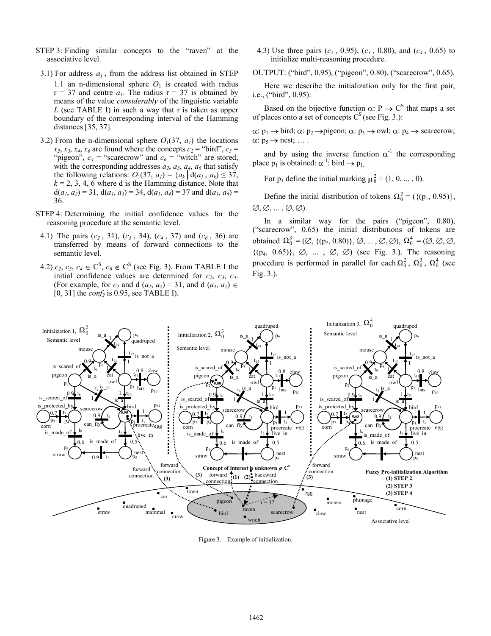- STEP 3: Finding similar concepts to the "raven" at the associative level.
	- 3.1) For address  $a<sub>l</sub>$ , from the address list obtained in STEP 1.1 an n-dimensional sphere  $O_1$  is created with radius  $r = 37$  and centre  $a<sub>l</sub>$ . The radius  $r = 37$  is obtained by means of the value *considerably* of the linguistic variable *L* (see TABLE I) in such a way that r is taken as upper boundary of the corresponding interval of the Hamming distances [35, 37].
- 3.2) From the n-dimensional sphere  $O_1(37, a_1)$  the locations  $x_2, x_3, x_4, x_6$  are found where the concepts  $c_2$  = "bird",  $c_3$  = "pigeon",  $c_4$  = "scarecrow" and  $c_6$  = "witch" are stored, with the corresponding addresses  $a_2$ ,  $a_3$ ,  $a_4$ ,  $a_6$  that satisfy the following relations:  $O_1(37, a_1) = \{a_k | d(a_1, a_k) \leq 37,$  $k = 2, 3, 4, 6$  where d is the Hamming distance. Note that  $d(a_1, a_2) = 31$ ,  $d(a_1, a_3) = 34$ ,  $d(a_1, a_4) = 37$  and  $d(a_1, a_6) =$ 36.
- STEP 4: Determining the initial confidence values for the reasoning procedure at the semantic level.
- 4.1) The pairs (*c<sup>2</sup>* , 31), (*c<sup>3</sup>* , 34), (*c<sup>4</sup>* , 37) and (*c<sup>6</sup>* , 36) are transferred by means of forward connections to the semantic level.
- 4.2)  $c_2$ ,  $c_3$ ,  $c_4 \in \mathbb{C}^{\mathbb{S}}$ ,  $c_6 \notin \mathbb{C}^{\mathbb{S}}$  (see Fig. 3). From TABLE I the initial confidence values are determined for  $c_2$ ,  $c_3$ ,  $c_4$ . (For example, for  $c_2$  and d  $(a_1, a_2) = 31$ , and d  $(a_1, a_2) \in$ [0, 31] the *conf<sup>2</sup>* is 0.95, see TABLE I).

4.3) Use three pairs (*c<sup>2</sup>* , 0.95), (*c<sup>3</sup>* , 0.80), and (*c<sup>4</sup>* , 0.65) to initialize multi-reasoning procedure.

OUTPUT: ("bird", 0.95), ("pigeon", 0.80), ("scarecrow", 0.65).

Here we describe the initialization only for the first pair, i.e., ("bird", 0.95):

Based on the bijective function  $\alpha$ : P  $\rightarrow$  C<sup>S</sup> that maps a set of places onto a set of concepts  $C<sup>S</sup>$  (see Fig. 3.):

 $\alpha: \mathfrak{p}_1 \to \text{bird}; \alpha: \mathfrak{p}_2 \to \text{pigeon}; \alpha: \mathfrak{p}_3 \to \text{owl}; \alpha: \mathfrak{p}_4 \to \text{scarecrow};$  $\alpha: p_5 \rightarrow$  nest; ....

and by using the inverse function  $\alpha^{-1}$  the corresponding place  $p_1$  is obtained:  $\alpha^{-1}$ : bird  $\rightarrow p_1$ .

For  $p_1$  define the initial marking  $\mu_0^2 = (1, 0, \dots, 0)$ .

Define the initial distribution of tokens  $\Omega_0^2 = (\{(p_1, 0.95)\},\)$  $\varnothing$ ,  $\varnothing$ , ...,  $\varnothing$ ,  $\varnothing$ ).

In a similar way for the pairs ("pigeon", 0.80), ("scarecrow", 0.65) the initial distributions of tokens are obtained  $\Omega_0^3 = (\emptyset, \{(p_2, 0.80)\}, \emptyset, ..., \emptyset, \emptyset)$ ,  $\Omega_0^4 = (\emptyset, \emptyset, \emptyset,$  $\{(p_4, 0.65)\}, \varnothing, \dots, \varnothing, \varnothing$  (see Fig. 3.). The reasoning procedure is performed in parallel for each  $\Omega_0^2$ ,  $\Omega_0^3$ ,  $\Omega_0^4$  (see Fig. 3.).



Figure 3. Example of initialization.